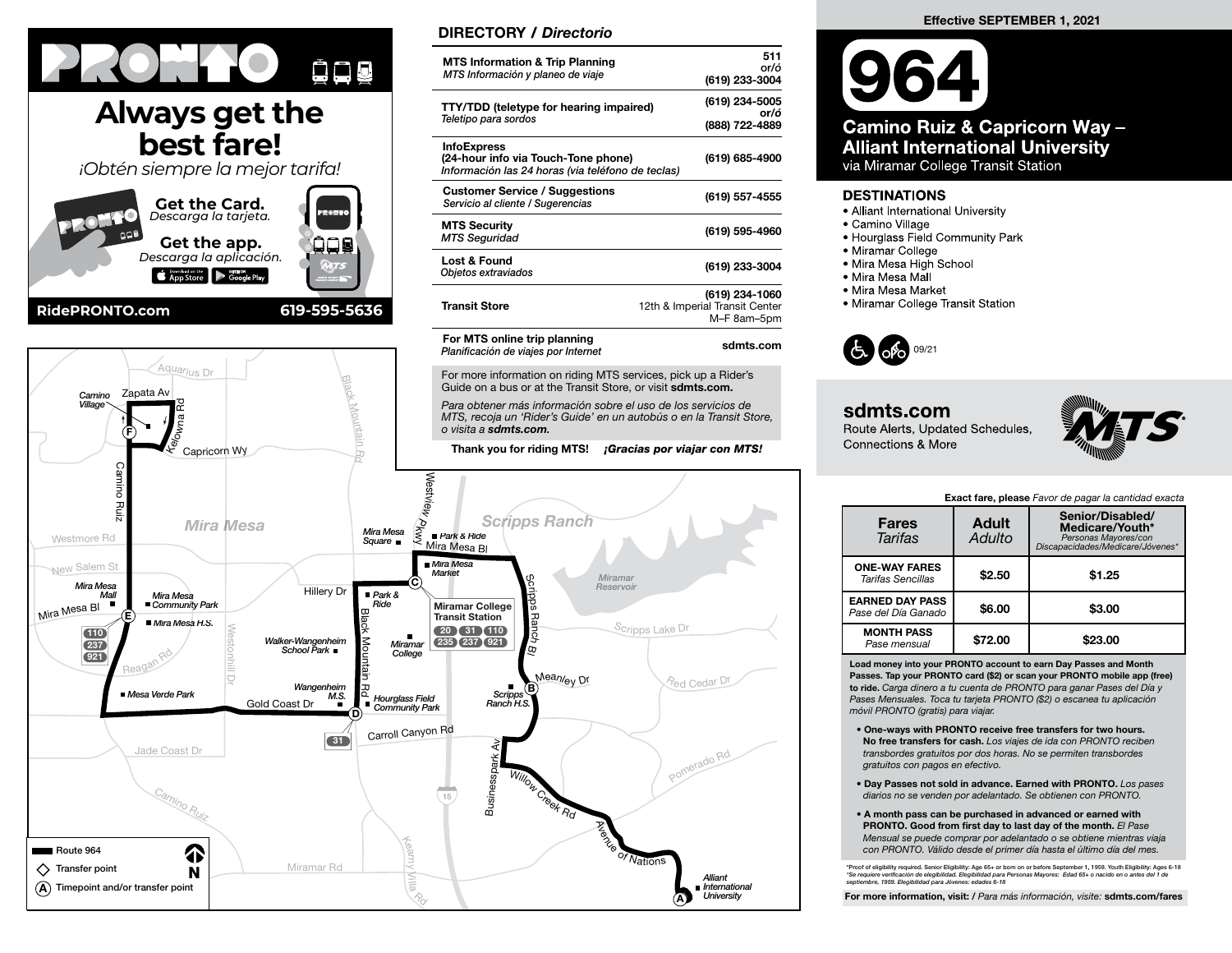

## **Always get the best fare!**

*¡Obtén siempre la mejor tarifa!* **Get the Card.** *Descarga la tarjeta.* **Get the app. ODE** *Descarga la aplicación.* App Store Society Google Play **RidePRONTO.com 619-595-5636**



## DIRECTORY / Directorio

| <b>MTS Information &amp; Trip Planning</b><br>MTS Información y planeo de viaje                                | 511<br>or/ó<br>(619) 233-3004                                   |
|----------------------------------------------------------------------------------------------------------------|-----------------------------------------------------------------|
| TTY/TDD (teletype for hearing impaired)<br>Teletipo para sordos                                                | (619) 234-5005<br>or/ó<br>(888) 722-4889                        |
| <b>InfoExpress</b><br>(24-hour info via Touch-Tone phone)<br>Información las 24 horas (via teléfono de teclas) | (619) 685-4900                                                  |
| <b>Customer Service / Suggestions</b><br>Servicio al cliente / Sugerencias                                     | (619) 557-4555                                                  |
| <b>MTS Security</b><br><b>MTS Seguridad</b>                                                                    | (619) 595-4960                                                  |
| Lost & Found<br>Objetos extraviados                                                                            | (619) 233-3004                                                  |
| <b>Transit Store</b>                                                                                           | (619) 234-1060<br>12th & Imperial Transit Center<br>M-F 8am-5pm |
| For MTS online trip planning<br>Dlonificación de violes non lotomot                                            | sdmts.com                                                       |

MTS, recoja un 'Rider's Guide' en un autobús o en la Transit Store,



Camino Ruiz & Capricorn Way -**Alliant International University** via Miramar College Transit Station

## **DESTINATIONS**

- Alliant International University
- · Camino Village
- Hourglass Field Community Park
- Miramar College
- · Mira Mesa High School
- Mira Mesa Mall
- Mira Mesa Market
- Miramar College Transit Station



## sdmts.com

Route Alerts, Updated Schedules. **Connections & More** 



Exact fare, please Favor de pagar la cantidad exacta

| <b>Fares</b><br><b>Tarifas</b>                   | <b>Adult</b><br>Adulto | Senior/Disabled/<br>Medicare/Youth*<br>Personas Mayores/con<br>Discapacidades/Medicare/Jóvenes* |  |  |  |
|--------------------------------------------------|------------------------|-------------------------------------------------------------------------------------------------|--|--|--|
| <b>ONE-WAY FARES</b><br><b>Tarifas Sencillas</b> | \$2.50                 | \$1.25                                                                                          |  |  |  |
| <b>EARNED DAY PASS</b><br>Pase del Día Ganado    | \$6.00                 | \$3.00                                                                                          |  |  |  |
| <b>MONTH PASS</b><br>Pase mensual                | \$72.00                | \$23.00                                                                                         |  |  |  |

Load money into your PRONTO account to earn Day Passes and Month Passes. Tap your PRONTO card (\$2) or scan your PRONTO mobile app (free) to ride. Carga dinero a tu cuenta de PRONTO para ganar Pases del Día y Pases Mensuales. Toca tu tarjeta PRONTO (\$2) o escanea tu aplicación móvil PRONTO (gratis) para viajar.

- One-ways with PRONTO receive free transfers for two hours. No free transfers for cash. Los viajes de ida con PRONTO reciben transbordes gratuitos por dos horas. No se permiten transbordes gratuitos con pagos en efectivo.
- Day Passes not sold in advance. Earned with PRONTO. Los pases diarios no se venden por adelantado. Se obtienen con PRONTO.
- A month pass can be purchased in advanced or earned with PRONTO. Good from first day to last day of the month. El Pase Mensual se puede comprar por adelantado o se obtiene mientras viaja con PRONTO. Válido desde el primer día hasta el último día del mes.

\*Proof of eligibility required. Senior Eligibility: Age 65+ or born on or before September 1, 1959. Youth Eligibility: Ages 6-18 \*Se requiere verificación de elegibilidad. Elegibilidad para Personas Mayores: Edad 65+ o nacido en o antes del 1 de<br>septiembre, 1959. Elegibilidad para Jóvenes: edades 6-18

For more information, visit: / Para más información, visite: sdmts.com/fares